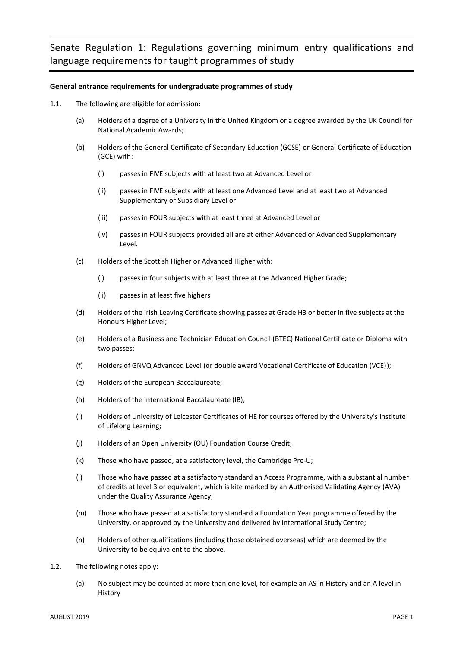# **General entrance requirements for undergraduate programmes of study**

- 1.1. The following are eligible for admission:
	- (a) Holders of a degree of a University in the United Kingdom or a degree awarded by the UK Council for National Academic Awards;
	- (b) Holders of the General Certificate of Secondary Education (GCSE) or General Certificate of Education (GCE) with:
		- (i) passes in FIVE subjects with at least two at Advanced Level or
		- (ii) passes in FIVE subjects with at least one Advanced Level and at least two at Advanced Supplementary or Subsidiary Level or
		- (iii) passes in FOUR subjects with at least three at Advanced Level or
		- (iv) passes in FOUR subjects provided all are at either Advanced or Advanced Supplementary Level.
	- (c) Holders of the Scottish Higher or Advanced Higher with:
		- (i) passes in four subjects with at least three at the Advanced Higher Grade;
		- (ii) passes in at least five highers
	- (d) Holders of the Irish Leaving Certificate showing passes at Grade H3 or better in five subjects at the Honours Higher Level;
	- (e) Holders of a Business and Technician Education Council (BTEC) National Certificate or Diploma with two passes;
	- (f) Holders of GNVQ Advanced Level (or double award Vocational Certificate of Education (VCE));
	- (g) Holders of the European Baccalaureate;
	- (h) Holders of the International Baccalaureate (IB);
	- (i) Holders of University of Leicester Certificates of HE for courses offered by the University's Institute of Lifelong Learning;
	- (j) Holders of an Open University (OU) Foundation Course Credit;
	- (k) Those who have passed, at a satisfactory level, the Cambridge Pre-U;
	- (l) Those who have passed at a satisfactory standard an Access Programme, with a substantial number of credits at level 3 or equivalent, which is kite marked by an Authorised Validating Agency (AVA) under the Quality Assurance Agency;
	- (m) Those who have passed at a satisfactory standard a Foundation Year programme offered by the University, or approved by the University and delivered by International Study Centre;
	- (n) Holders of other qualifications (including those obtained overseas) which are deemed by the University to be equivalent to the above.
- 1.2. The following notes apply:
	- (a) No subject may be counted at more than one level, for example an AS in History and an A level in History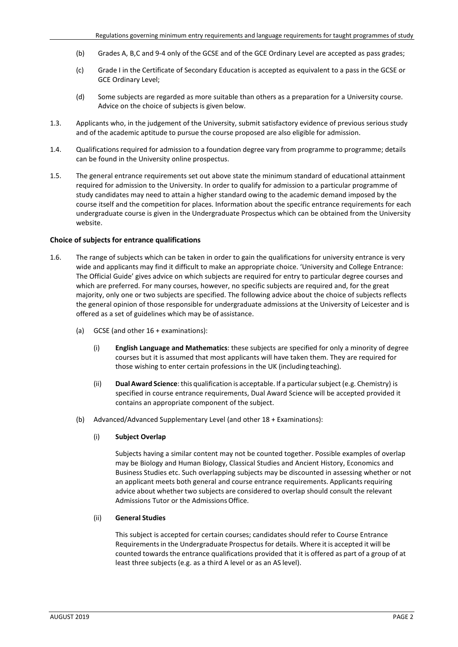- (b) Grades A, B,C and 9-4 only of the GCSE and of the GCE Ordinary Level are accepted as pass grades;
- (c) Grade I in the Certificate of Secondary Education is accepted as equivalent to a pass in the GCSE or GCE Ordinary Level;
- (d) Some subjects are regarded as more suitable than others as a preparation for a University course. Advice on the choice of subjects is given below.
- 1.3. Applicants who, in the judgement of the University, submit satisfactory evidence of previous serious study and of the academic aptitude to pursue the course proposed are also eligible for admission.
- 1.4. Qualifications required for admission to a foundation degree vary from programme to programme; details can be found in the University online prospectus.
- 1.5. The general entrance requirements set out above state the minimum standard of educational attainment required for admission to the University. In order to qualify for admission to a particular programme of study candidates may need to attain a higher standard owing to the academic demand imposed by the course itself and the competition for places. Information about the specific entrance requirements for each undergraduate course is given in the Undergraduate Prospectus which can be obtained from the University website.

#### **Choice of subjects for entrance qualifications**

- 1.6. The range of subjects which can be taken in order to gain the qualifications for university entrance is very wide and applicants may find it difficult to make an appropriate choice. 'University and College Entrance: The Official Guide' gives advice on which subjects are required for entry to particular degree courses and which are preferred. For many courses, however, no specific subjects are required and, for the great majority, only one or two subjects are specified. The following advice about the choice of subjects reflects the general opinion of those responsible for undergraduate admissions at the University of Leicester and is offered as a set of guidelines which may be of assistance.
	- (a) GCSE (and other 16 + examinations):
		- (i) **English Language and Mathematics**: these subjects are specified for only a minority of degree courses but it is assumed that most applicants will have taken them. They are required for those wishing to enter certain professions in the UK (includingteaching).
		- (ii) **Dual Award Science**:this qualification is acceptable. If a particularsubject (e.g. Chemistry) is specified in course entrance requirements, Dual Award Science will be accepted provided it contains an appropriate component of the subject.
	- (b) Advanced/Advanced Supplementary Level (and other 18 + Examinations):

#### (i) **Subject Overlap**

Subjects having a similar content may not be counted together. Possible examples of overlap may be Biology and Human Biology, Classical Studies and Ancient History, Economics and Business Studies etc. Such overlapping subjects may be discounted in assessing whether or not an applicant meets both general and course entrance requirements. Applicants requiring advice about whether two subjects are considered to overlap should consult the relevant Admissions Tutor or the Admissions Office.

# (ii) **General Studies**

This subject is accepted for certain courses; candidates should refer to Course Entrance Requirementsin the Undergraduate Prospectus for details. Where it is accepted it will be counted towardsthe entrance qualifications provided that it is offered as part of a group of at least three subjects (e.g. as a third A level or as an AS level).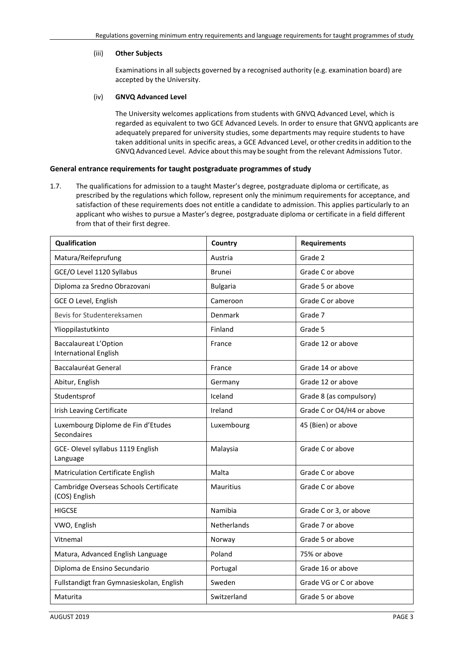### (iii) **Other Subjects**

Examinations in all subjects governed by a recognised authority (e.g. examination board) are accepted by the University.

### (iv) **GNVQ Advanced Level**

The University welcomes applications from students with GNVQ Advanced Level, which is regarded as equivalent to two GCE Advanced Levels. In order to ensure that GNVQ applicants are adequately prepared for university studies, some departments may require students to have taken additional units in specific areas, a GCE Advanced Level, or other creditsin addition to the GNVQ Advanced Level. Advice about this may be sought from the relevant Admissions Tutor.

# **General entrance requirements for taught postgraduate programmes of study**

1.7. The qualifications for admission to a taught Master's degree, postgraduate diploma or certificate, as prescribed by the regulations which follow, represent only the minimum requirements for acceptance, and satisfaction of these requirements does not entitle a candidate to admission. This applies particularly to an applicant who wishes to pursue a Master's degree, postgraduate diploma or certificate in a field different from that of their first degree.

| Qualification                                                | Country          | <b>Requirements</b>       |
|--------------------------------------------------------------|------------------|---------------------------|
| Matura/Reifeprufung                                          | Austria          | Grade 2                   |
| GCE/O Level 1120 Syllabus                                    | <b>Brunei</b>    | Grade C or above          |
| Diploma za Sredno Obrazovani                                 | <b>Bulgaria</b>  | Grade 5 or above          |
| GCE O Level, English                                         | Cameroon         | Grade C or above          |
| Bevis for Studentereksamen                                   | Denmark          | Grade 7                   |
| Ylioppilastutkinto                                           | Finland          | Grade 5                   |
| <b>Baccalaureat L'Option</b><br><b>International English</b> | France           | Grade 12 or above         |
| <b>Baccalauréat General</b>                                  | France           | Grade 14 or above         |
| Abitur, English                                              | Germany          | Grade 12 or above         |
| Studentsprof                                                 | Iceland          | Grade 8 (as compulsory)   |
| Irish Leaving Certificate                                    | Ireland          | Grade C or O4/H4 or above |
| Luxembourg Diplome de Fin d'Etudes<br>Secondaires            | Luxembourg       | 45 (Bien) or above        |
| GCE-Olevel syllabus 1119 English<br>Language                 | Malaysia         | Grade C or above          |
| Matriculation Certificate English                            | Malta            | Grade C or above          |
| Cambridge Overseas Schools Certificate<br>(COS) English      | <b>Mauritius</b> | Grade C or above          |
| <b>HIGCSE</b>                                                | Namibia          | Grade C or 3, or above    |
| VWO, English                                                 | Netherlands      | Grade 7 or above          |
| Vitnemal                                                     | Norway           | Grade 5 or above          |
| Matura, Advanced English Language                            | Poland           | 75% or above              |
| Diploma de Ensino Secundario                                 | Portugal         | Grade 16 or above         |
| Fullstandigt fran Gymnasieskolan, English                    | Sweden           | Grade VG or C or above    |
| Maturita                                                     | Switzerland      | Grade 5 or above          |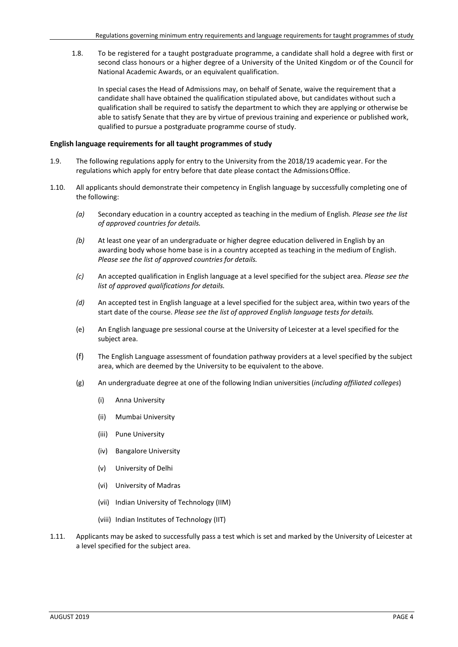1.8. To be registered for a taught postgraduate programme, a candidate shall hold a degree with first or second class honours or a higher degree of a University of the United Kingdom or of the Council for National Academic Awards, or an equivalent qualification.

In special cases the Head of Admissions may, on behalf of Senate, waive the requirement that a candidate shall have obtained the qualification stipulated above, but candidates without such a qualification shall be required to satisfy the department to which they are applying or otherwise be able to satisfy Senate that they are by virtue of previous training and experience or published work, qualified to pursue a postgraduate programme course of study.

#### **English language requirements for all taught programmes of study**

- 1.9. The following regulations apply for entry to the University from the 2018/19 academic year. For the regulations which apply for entry before that date please contact the Admissions Office.
- 1.10. All applicants should demonstrate their competency in English language by successfully completing one of the following:
	- *(a)* Secondary education in a country accepted as teaching in the medium of English*. Please see the list of approved countries for details.*
	- *(b)* At least one year of an undergraduate or higher degree education delivered in English by an awarding body whose home base is in a country accepted as teaching in the medium of English. *Please see the list of approved countries for details.*
	- *(c)* An accepted qualification in English language at a level specified for the subject area. *Please see the list of approved qualifications for details.*
	- *(d)* An accepted test in English language at a level specified for the subject area, within two years of the start date of the course. *Please see the list of approved English language tests for details.*
	- (e) An English language pre sessional course at the University of Leicester at a level specified for the subject area.
	- (f) The English Language assessment of foundation pathway providers at a level specified by the subject area, which are deemed by the University to be equivalent to the above.
	- (g) An undergraduate degree at one of the following Indian universities (*including affiliated colleges*)
		- (i) Anna University
		- (ii) Mumbai University
		- (iii) Pune University
		- (iv) Bangalore University
		- (v) University of Delhi
		- (vi) University of Madras
		- (vii) Indian University of Technology (IIM)
		- (viii) Indian Institutes of Technology (IIT)
- 1.11. Applicants may be asked to successfully pass a test which is set and marked by the University of Leicester at a level specified for the subject area.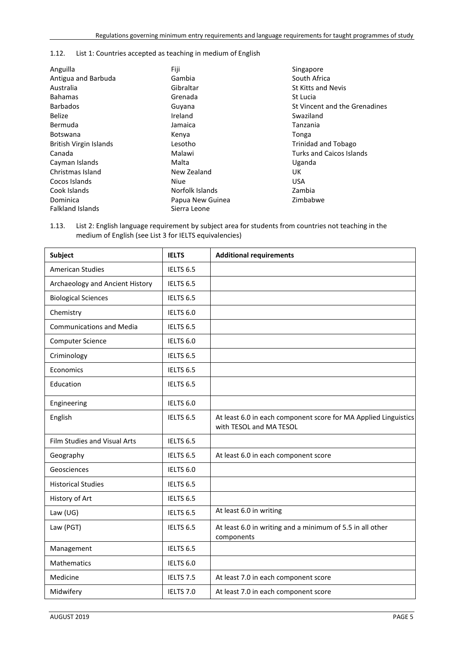# 1.12. List 1: Countries accepted as teaching in medium of English

| Fiji             | Singapore                     |
|------------------|-------------------------------|
| Gambia           | South Africa                  |
| Gibraltar        | St Kitts and Nevis            |
| Grenada          | St Lucia                      |
| Guyana           | St Vincent and the Grenadines |
| Ireland          | Swaziland                     |
| Jamaica          | Tanzania                      |
| Kenya            | Tonga                         |
| Lesotho          | Trinidad and Tobago           |
| Malawi           | Turks and Caicos Islands      |
| Malta            | Uganda                        |
| New Zealand      | UK.                           |
| <b>Niue</b>      | <b>USA</b>                    |
| Norfolk Islands  | Zambia                        |
| Papua New Guinea | Zimbabwe                      |
| Sierra Leone     |                               |
|                  |                               |

1.13. List 2: English language requirement by subject area for students from countries not teaching in the medium of English (see List 3 for IELTS equivalencies)

| <b>Subject</b>                  | <b>IELTS</b>         | <b>Additional requirements</b>                                                             |
|---------------------------------|----------------------|--------------------------------------------------------------------------------------------|
| <b>American Studies</b>         | IELTS 6.5            |                                                                                            |
| Archaeology and Ancient History | IELTS 6.5            |                                                                                            |
| <b>Biological Sciences</b>      | IELTS 6.5            |                                                                                            |
| Chemistry                       | IELTS 6.0            |                                                                                            |
| <b>Communications and Media</b> | IELTS 6.5            |                                                                                            |
| Computer Science                | IELTS 6.0            |                                                                                            |
| Criminology                     | IELTS <sub>6.5</sub> |                                                                                            |
| Economics                       | IELTS 6.5            |                                                                                            |
| Education                       | IELTS 6.5            |                                                                                            |
| Engineering                     | IELTS 6.0            |                                                                                            |
| English                         | IELTS <sub>6.5</sub> | At least 6.0 in each component score for MA Applied Linguistics<br>with TESOL and MA TESOL |
| Film Studies and Visual Arts    | IELTS <sub>6.5</sub> |                                                                                            |
| Geography                       | IELTS 6.5            | At least 6.0 in each component score                                                       |
| Geosciences                     | IELTS <sub>6.0</sub> |                                                                                            |
| <b>Historical Studies</b>       | IELTS 6.5            |                                                                                            |
| History of Art                  | IELTS 6.5            |                                                                                            |
| Law $(UG)$                      | IELTS 6.5            | At least 6.0 in writing                                                                    |
| Law (PGT)                       | IELTS 6.5            | At least 6.0 in writing and a minimum of 5.5 in all other<br>components                    |
| Management                      | IELTS 6.5            |                                                                                            |
| Mathematics                     | IELTS 6.0            |                                                                                            |
| Medicine                        | IELTS 7.5            | At least 7.0 in each component score                                                       |
| Midwifery                       | IELTS 7.0            | At least 7.0 in each component score                                                       |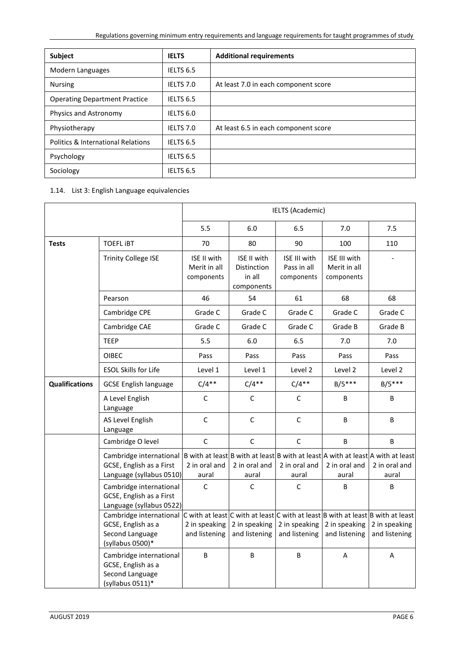| Subject                              | <b>IELTS</b>         | <b>Additional requirements</b>       |
|--------------------------------------|----------------------|--------------------------------------|
| Modern Languages                     | IELTS 6.5            |                                      |
| <b>Nursing</b>                       | IELTS 7.0            | At least 7.0 in each component score |
| <b>Operating Department Practice</b> | IELTS 6.5            |                                      |
| Physics and Astronomy                | IELTS <sub>6.0</sub> |                                      |
| Physiotherapy                        | IELTS 7.0            | At least 6.5 in each component score |
| Politics & International Relations   | IELTS 6.5            |                                      |
| Psychology                           | IELTS 6.5            |                                      |
| Sociology                            | IELTS 6.5            |                                      |

# 1.14. List 3: English Language equivalencies

|                       |                                                                                      | <b>IELTS (Academic)</b>                   |                                                    |                                           |                                            |                                                                                                                      |
|-----------------------|--------------------------------------------------------------------------------------|-------------------------------------------|----------------------------------------------------|-------------------------------------------|--------------------------------------------|----------------------------------------------------------------------------------------------------------------------|
|                       |                                                                                      | 5.5<br>6.0<br>6.5<br>7.0<br>7.5           |                                                    |                                           |                                            |                                                                                                                      |
| <b>Tests</b>          | <b>TOEFL IBT</b>                                                                     | 70                                        | 80                                                 | 90                                        | 100                                        | 110                                                                                                                  |
|                       | <b>Trinity College ISE</b>                                                           | ISE II with<br>Merit in all<br>components | ISE II with<br>Distinction<br>in all<br>components | ISE III with<br>Pass in all<br>components | ISE III with<br>Merit in all<br>components |                                                                                                                      |
|                       | Pearson                                                                              | 46                                        | 54                                                 | 61                                        | 68                                         | 68                                                                                                                   |
|                       | Cambridge CPE                                                                        | Grade C                                   | Grade C                                            | Grade C                                   | Grade C                                    | Grade C                                                                                                              |
|                       | Cambridge CAE                                                                        | Grade C                                   | Grade C                                            | Grade C                                   | Grade B                                    | Grade B                                                                                                              |
|                       | <b>TEEP</b>                                                                          | 5.5                                       | 6.0                                                | 6.5                                       | 7.0                                        | 7.0                                                                                                                  |
|                       | <b>OIBEC</b>                                                                         | Pass                                      | Pass                                               | Pass                                      | Pass                                       | Pass                                                                                                                 |
|                       | <b>ESOL Skills for Life</b>                                                          | Level 1                                   | Level 1                                            | Level 2                                   | Level 2                                    | Level 2                                                                                                              |
| <b>Qualifications</b> | <b>GCSE English language</b>                                                         | $C/4**$                                   | $C/4**$                                            | $C/4**$                                   | $B/5***$                                   | $B/5***$                                                                                                             |
|                       | A Level English<br>Language                                                          | $\mathsf C$                               | C                                                  | $\mathsf C$                               | В                                          | В                                                                                                                    |
|                       | AS Level English<br>Language                                                         | $\mathsf C$                               | $\mathsf C$                                        | $\mathsf C$                               | B                                          | В                                                                                                                    |
|                       | Cambridge O level                                                                    | $\mathsf C$                               | $\mathsf C$                                        | $\mathsf C$                               | $\sf B$                                    | В                                                                                                                    |
|                       | Cambridge international<br>GCSE, English as a First<br>Language (syllabus 0510)      | 2 in oral and<br>aural                    | 2 in oral and<br>aural                             | 2 in oral and<br>aural                    | 2 in oral and<br>aural                     | $ B$ with at least B with at least B with at least A with at least A with at least<br>2 in oral and<br>aural         |
|                       | Cambridge international<br>GCSE, English as a First<br>Language (syllabus 0522)      | C                                         | C                                                  | C                                         | B                                          | B                                                                                                                    |
|                       | Cambridge international<br>GCSE, English as a<br>Second Language<br>(syllabus 0500)* | 2 in speaking<br>and listening            | 2 in speaking<br>and listening                     | 2 in speaking<br>and listening            | 2 in speaking<br>and listening             | $ C$ with at least C with at least C with at least B with at least B with at least<br>2 in speaking<br>and listening |
|                       | Cambridge international<br>GCSE, English as a<br>Second Language<br>(syllabus 0511)* | B                                         | B                                                  | B                                         | Α                                          | A                                                                                                                    |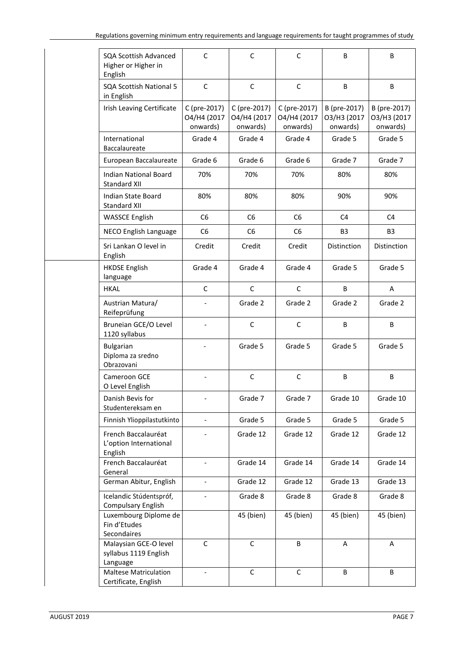| <b>SQA Scottish Advanced</b><br>Higher or Higher in<br>English | $\mathsf{C}$                            | $\mathsf C$                             | $\mathsf{C}$                            | B                                       | B                                       |
|----------------------------------------------------------------|-----------------------------------------|-----------------------------------------|-----------------------------------------|-----------------------------------------|-----------------------------------------|
| <b>SQA Scottish National 5</b><br>in English                   | $\mathsf{C}$                            | $\mathsf C$                             | $\mathsf{C}$                            | B                                       | B                                       |
| Irish Leaving Certificate                                      | C (pre-2017)<br>O4/H4 (2017<br>onwards) | C (pre-2017)<br>O4/H4 (2017<br>onwards) | C (pre-2017)<br>O4/H4 (2017<br>onwards) | B (pre-2017)<br>O3/H3 (2017<br>onwards) | B (pre-2017)<br>O3/H3 (2017<br>onwards) |
| International<br>Baccalaureate                                 | Grade 4                                 | Grade 4                                 | Grade 4                                 | Grade 5                                 | Grade 5                                 |
| European Baccalaureate                                         | Grade 6                                 | Grade 6                                 | Grade 6                                 | Grade 7                                 | Grade 7                                 |
| <b>Indian National Board</b><br>Standard XII                   | 70%                                     | 70%                                     | 70%                                     | 80%                                     | 80%                                     |
| <b>Indian State Board</b><br>Standard XII                      | 80%                                     | 80%                                     | 80%                                     | 90%                                     | 90%                                     |
| <b>WASSCE English</b>                                          | C <sub>6</sub>                          | C <sub>6</sub>                          | C <sub>6</sub>                          | C4                                      | C <sub>4</sub>                          |
| NECO English Language                                          | C <sub>6</sub>                          | C <sub>6</sub>                          | C <sub>6</sub>                          | B <sub>3</sub>                          | B <sub>3</sub>                          |
| Sri Lankan O level in<br>English                               | Credit                                  | Credit                                  | Credit                                  | Distinction                             | Distinction                             |
| <b>HKDSE English</b><br>language                               | Grade 4                                 | Grade 4                                 | Grade 4                                 | Grade 5                                 | Grade 5                                 |
| <b>HKAL</b>                                                    | $\mathsf C$                             | $\mathsf C$                             | $\mathsf C$                             | B                                       | Α                                       |
| Austrian Matura/<br>Reifeprüfung                               |                                         | Grade 2                                 | Grade 2                                 | Grade 2                                 | Grade 2                                 |
| Bruneian GCE/O Level<br>1120 syllabus                          |                                         | C                                       | C                                       | B                                       | B                                       |
| Bulgarian<br>Diploma za sredno<br>Obrazovani                   |                                         | Grade 5                                 | Grade 5                                 | Grade 5                                 | Grade 5                                 |
| Cameroon GCE<br>O Level English                                |                                         | $\mathsf C$                             | $\mathsf{C}$                            | B                                       | B                                       |
| Danish Bevis for<br>Studentereksam en                          |                                         | Grade 7                                 | Grade 7                                 | Grade 10                                | Grade 10                                |
| Finnish Ylioppilastutkinto                                     |                                         | Grade 5                                 | Grade 5                                 | Grade 5                                 | Grade 5                                 |
| French Baccalauréat<br>L'option International<br>English       |                                         | Grade 12                                | Grade 12                                | Grade 12                                | Grade 12                                |
| French Baccalauréat<br>General                                 | $\blacksquare$                          | Grade 14                                | Grade 14                                | Grade 14                                | Grade 14                                |
| German Abitur, English                                         | $\overline{\phantom{0}}$                | Grade 12                                | Grade 12                                | Grade 13                                | Grade 13                                |
| Icelandic Stúdentspróf,<br><b>Compulsary English</b>           |                                         | Grade 8                                 | Grade 8                                 | Grade 8                                 | Grade 8                                 |
| Luxembourg Diplome de<br>Fin d'Etudes<br>Secondaires           |                                         | 45 (bien)                               | 45 (bien)                               | 45 (bien)                               | 45 (bien)                               |
| Malaysian GCE-O level<br>syllabus 1119 English<br>Language     | $\mathsf{C}$                            | $\mathsf{C}$                            | B                                       | Α                                       | A                                       |
| <b>Maltese Matriculation</b><br>Certificate, English           | $\blacksquare$                          | $\mathsf C$                             | $\mathsf C$                             | B                                       | B                                       |